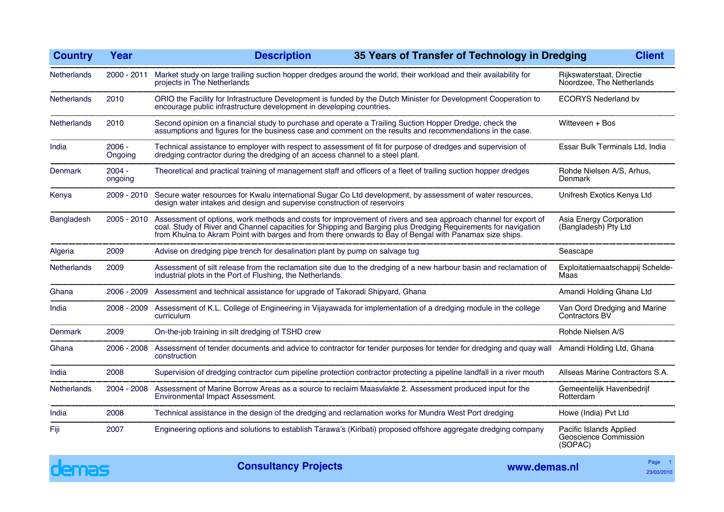| <b>Country</b>     | Year                | 35 Years of Transfer of Technology in Dredging<br><b>Description</b>                                                                                                                                                                                                                                                                        |                                                             | <b>Client</b> |
|--------------------|---------------------|---------------------------------------------------------------------------------------------------------------------------------------------------------------------------------------------------------------------------------------------------------------------------------------------------------------------------------------------|-------------------------------------------------------------|---------------|
| <b>Netherlands</b> | $2000 - 2011$       | Market study on large trailing suction hopper dredges around the world, their workload and their availability for<br>projects in The Netherlands                                                                                                                                                                                            | Rijkswaterstaat, Directie<br>Noordzee, The Netherlands      |               |
| Netherlands        | 2010                | ORIO the Facility for Infrastructure Development is funded by the Dutch Minister for Development Cooperation to<br>encourage public infrastructure development in developing countries.                                                                                                                                                     | <b>ECORYS Nederland bv</b>                                  |               |
| Netherlands        | 2010                | Second opinion on a financial study to purchase and operate a Trailing Suction Hopper Dredge, check the<br>assumptions and figures for the business case and comment on the results and recommendations in the case.                                                                                                                        | Witteveen + Bos                                             |               |
| India              | $2006 -$<br>Ongoing | Technical assistance to employer with respect to assessment of fit for purpose of dredges and supervision of<br>dredging contractor during the dredging of an access channel to a steel plant.                                                                                                                                              | Essar Bulk Terminals Ltd, India                             |               |
| Denmark            | $2004 -$<br>ongoing | Theoretical and practical training of management staff and officers of a fleet of trailing suction hopper dredges                                                                                                                                                                                                                           | Rohde Nielsen A/S, Arhus,<br>Denmark                        |               |
| Kenya              | 2009 - 2010         | Secure water resources for Kwalu international Sugar Co Ltd development, by assessment of water resources,<br>design water intakes and design and supervise construction of reservoirs                                                                                                                                                      | Unifresh Exotics Kenya Ltd                                  |               |
| Bangladesh         | $2005 - 2010$       | Assessment of options, work methods and costs for improvement of rivers and sea approach channel for export of<br>coal. Study of River and Channel capacities for Shipping and Barging plus Dredging Requirements for navigation<br>from Khulna to Akram Point with barges and from there onwards to Bay of Bengal with Panamax size ships. | Asia Energy Corporation<br>(Bangladesh) Pty Ltd             |               |
| Algeria            | 2009                | Advise on dredging pipe trench for desalination plant by pump on salvage tug                                                                                                                                                                                                                                                                | Seascape                                                    |               |
| Netherlands        | 2009                | Assessment of silt release from the reclamation site due to the dredging of a new harbour basin and reclamation of<br>industrial plots in the Port of Flushing, the Netherlands.                                                                                                                                                            | Exploitatiemaatschappij Schelde-<br>Maas                    |               |
| Ghana              | 2006 - 2009         | Assessment and technical assistance for upgrade of Takoradi Shipyard, Ghana                                                                                                                                                                                                                                                                 | Amandi Holding Ghana Ltd                                    |               |
| India              | $2008 - 2009$       | Assessment of K.L. College of Engineering in Vijayawada for implementation of a dredging module in the college<br>curriculum                                                                                                                                                                                                                | Van Oord Dredging and Marine<br>Contractors BV              |               |
| Denmark            | 2009                | On-the-job training in silt dredging of TSHD crew                                                                                                                                                                                                                                                                                           | Rohde Nielsen A/S                                           |               |
| Ghana              | 2006 - 2008         | Assessment of tender documents and advice to contractor for tender purposes for tender for dredging and quay wall<br>construction                                                                                                                                                                                                           | Amandi Holding Ltd, Ghana                                   |               |
| India              | 2008                | Supervision of dredging contractor cum pipeline protection contractor protecting a pipeline landfall in a river mouth                                                                                                                                                                                                                       | Allseas Marine Contractors S.A.                             |               |
| <b>Netherlands</b> | 2004 - 2008         | Assessment of Marine Borrow Areas as a source to reclaim Maasvlakte 2. Assessment produced input for the<br>Environmental Impact Assessment.                                                                                                                                                                                                | Gemeentelijk Havenbedrijf<br>Rotterdam                      |               |
| India              | 2008                | Technical assistance in the design of the dredging and reclamation works for Mundra West Port dredging                                                                                                                                                                                                                                      | Howe (India) Pvt Ltd                                        |               |
| Fiji               | 2007                | Engineering options and solutions to establish Tarawa's (Kiribati) proposed offshore aggregate dredging company                                                                                                                                                                                                                             | Pacific Islands Applied<br>Geoscience Commission<br>(SOPAC) |               |

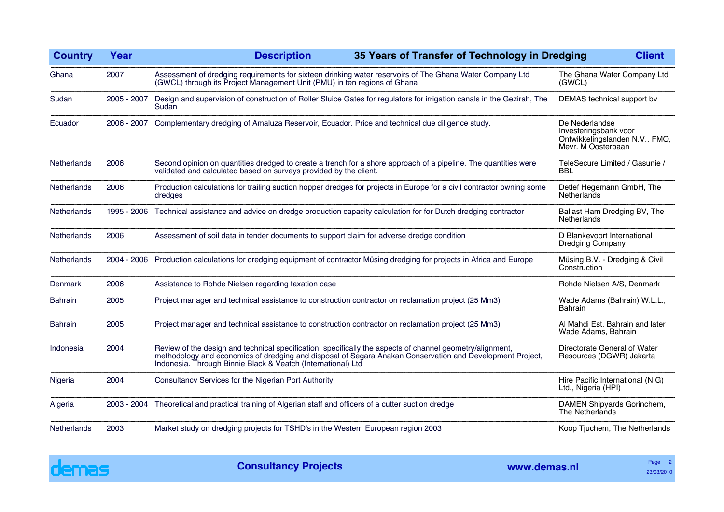| <b>Country</b>     | Year        | 35 Years of Transfer of Technology in Dredging<br><b>Description</b>                                                                                                                                                                                                                   |  | <b>Client</b>                                                                                   |
|--------------------|-------------|----------------------------------------------------------------------------------------------------------------------------------------------------------------------------------------------------------------------------------------------------------------------------------------|--|-------------------------------------------------------------------------------------------------|
| Ghana              | 2007        | Assessment of dredging requirements for sixteen drinking water reservoirs of The Ghana Water Company Ltd<br>(GWCL) through its Project Management Unit (PMU) in ten regions of Ghana                                                                                                   |  | The Ghana Water Company Ltd<br>(GWCL)                                                           |
| Sudan              | 2005 - 2007 | Design and supervision of construction of Roller Sluice Gates for regulators for irrigation canals in the Gezirah, The<br>Sudan                                                                                                                                                        |  | DEMAS technical support by                                                                      |
| Ecuador            | 2006 - 2007 | Complementary dredging of Amaluza Reservoir, Ecuador. Price and technical due diligence study.                                                                                                                                                                                         |  | De Nederlandse<br>Investeringsbank voor<br>Ontwikkelingslanden N.V., FMO,<br>Mevr. M Oosterbaan |
| <b>Netherlands</b> | 2006        | Second opinion on quantities dredged to create a trench for a shore approach of a pipeline. The quantities were<br>validated and calculated based on surveys provided by the client.                                                                                                   |  | TeleSecure Limited / Gasunie /<br><b>BBL</b>                                                    |
| <b>Netherlands</b> | 2006        | Production calculations for trailing suction hopper dredges for projects in Europe for a civil contractor owning some<br>dredges                                                                                                                                                       |  | Detlef Hegemann GmbH, The<br><b>Netherlands</b>                                                 |
| Netherlands        | 1995 - 2006 | Technical assistance and advice on dredge production capacity calculation for for Dutch dredging contractor                                                                                                                                                                            |  | Ballast Ham Dredging BV, The<br><b>Netherlands</b>                                              |
| <b>Netherlands</b> | 2006        | Assessment of soil data in tender documents to support claim for adverse dredge condition                                                                                                                                                                                              |  | D Blankevoort International<br><b>Dredging Company</b>                                          |
| Netherlands        | 2004 - 2006 | Production calculations for dredging equipment of contractor Müsing dredging for projects in Africa and Europe                                                                                                                                                                         |  | Müsing B.V. - Dredging & Civil<br>Construction                                                  |
| Denmark            | 2006        | Assistance to Rohde Nielsen regarding taxation case                                                                                                                                                                                                                                    |  | Rohde Nielsen A/S, Denmark                                                                      |
| <b>Bahrain</b>     | 2005        | Project manager and technical assistance to construction contractor on reclamation project (25 Mm3)                                                                                                                                                                                    |  | Wade Adams (Bahrain) W.L.L.,<br><b>Bahrain</b>                                                  |
| <b>Bahrain</b>     | 2005        | Project manager and technical assistance to construction contractor on reclamation project (25 Mm3)                                                                                                                                                                                    |  | Al Mahdi Est, Bahrain and later<br>Wade Adams, Bahrain                                          |
| Indonesia          | 2004        | Review of the design and technical specification, specifically the aspects of channel geometry/alignment,<br>methodology and economics of dredging and disposal of Segara Anakan Conservation and Development Project,<br>Indonesia. Through Binnie Black & Veatch (International) Ltd |  | Directorate General of Water<br>Resources (DGWR) Jakarta                                        |
| Nigeria            | 2004        | Consultancy Services for the Nigerian Port Authority                                                                                                                                                                                                                                   |  | Hire Pacific International (NIG)<br>Ltd., Nigeria (HPI)                                         |
| Algeria            | 2003 - 2004 | Theoretical and practical training of Algerian staff and officers of a cutter suction dredge                                                                                                                                                                                           |  | DAMEN Shipyards Gorinchem,<br>The Netherlands                                                   |
| <b>Netherlands</b> | 2003        | Market study on dredging projects for TSHD's in the Western European region 2003                                                                                                                                                                                                       |  | Koop Tjuchem, The Netherlands                                                                   |

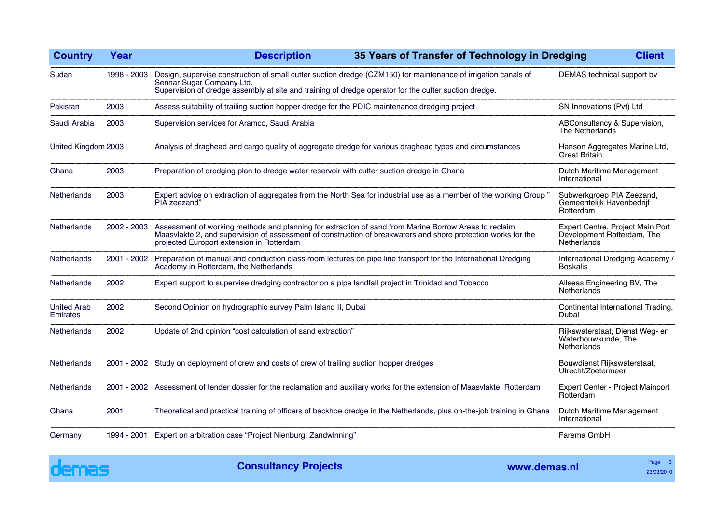| <b>Country</b>                 | Year        | 35 Years of Transfer of Technology in Dredging<br><b>Description</b>                                                                                                                                                                                                | <b>Client</b>                                                                        |
|--------------------------------|-------------|---------------------------------------------------------------------------------------------------------------------------------------------------------------------------------------------------------------------------------------------------------------------|--------------------------------------------------------------------------------------|
| Sudan                          | 1998 - 2003 | Design, supervise construction of small cutter suction dredge (CZM150) for maintenance of irrigation canals of<br>Sennar Sugar Company Ltd.<br>Supervision of dredge assembly at site and training of dredge operator for the cutter suction dredge.                | DEMAS technical support bv                                                           |
| Pakistan                       | 2003        | Assess suitability of trailing suction hopper dredge for the PDIC maintenance dredging project                                                                                                                                                                      | SN Innovations (Pvt) Ltd                                                             |
| Saudi Arabia                   | 2003        | Supervision services for Aramco, Saudi Arabia                                                                                                                                                                                                                       | ABConsultancy & Supervision,<br>The Netherlands                                      |
| United Kingdom 2003            |             | Analysis of draghead and cargo quality of aggregate dredge for various draghead types and circumstances                                                                                                                                                             | Hanson Aggregates Marine Ltd,<br><b>Great Britain</b>                                |
| Ghana                          | 2003        | Preparation of dredging plan to dredge water reservoir with cutter suction dredge in Ghana                                                                                                                                                                          | Dutch Maritime Management<br>International                                           |
| Netherlands                    | 2003        | Expert advice on extraction of aggregates from the North Sea for industrial use as a member of the working Group"<br>PIA zeezand"                                                                                                                                   | Subwerkgroep PIA Zeezand,<br>Gemeentelijk Havenbedrijf<br>Rotterdam                  |
| Netherlands                    | 2002 - 2003 | Assessment of working methods and planning for extraction of sand from Marine Borrow Areas to reclaim<br>Maasvlakte 2, and supervision of assessment of construction of breakwaters and shore protection works for the<br>projected Europort extension in Rotterdam | Expert Centre, Project Main Port<br>Development Rotterdam, The<br><b>Netherlands</b> |
| <b>Netherlands</b>             | 2001 - 2002 | Preparation of manual and conduction class room lectures on pipe line transport for the International Dredging<br>Academy in Rotterdam, the Netherlands                                                                                                             | International Dredging Academy /<br><b>Boskalis</b>                                  |
| <b>Netherlands</b>             | 2002        | Expert support to supervise dredging contractor on a pipe landfall project in Trinidad and Tobacco                                                                                                                                                                  | Allseas Engineering BV, The<br>Netherlands                                           |
| <b>United Arab</b><br>Emirates | 2002        | Second Opinion on hydrographic survey Palm Island II, Dubai                                                                                                                                                                                                         | Continental International Trading,<br>Dubai                                          |
| Netherlands                    | 2002        | Update of 2nd opinion "cost calculation of sand extraction"                                                                                                                                                                                                         | Rijkswaterstaat, Dienst Weg- en<br>Waterbouwkunde, The<br><b>Netherlands</b>         |
| Netherlands                    | 2001 - 2002 | Study on deployment of crew and costs of crew of trailing suction hopper dredges                                                                                                                                                                                    | Bouwdienst Rijkswaterstaat,<br>Utrecht/Zoetermeer                                    |
| <b>Netherlands</b>             |             | 2001 - 2002 Assessment of tender dossier for the reclamation and auxiliary works for the extension of Maasvlakte, Rotterdam                                                                                                                                         | Expert Center - Project Mainport<br>Rotterdam                                        |
| Ghana                          | 2001        | Theoretical and practical training of officers of backhoe dredge in the Netherlands, plus on-the-job training in Ghana                                                                                                                                              | Dutch Maritime Management<br>International                                           |
| Germany                        | 1994 - 2001 | Expert on arbitration case "Project Nienburg, Zandwinning"                                                                                                                                                                                                          | Farema GmbH                                                                          |

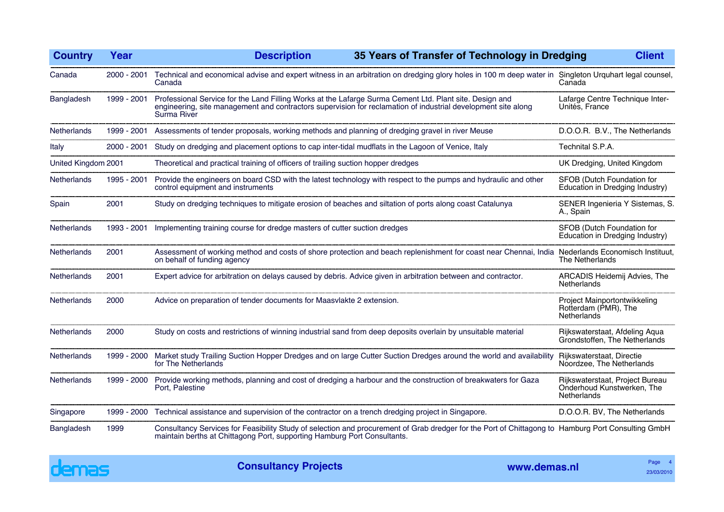| <b>Country</b>      | Year          | <b>Description</b><br>35 Years of Transfer of Technology in Dredging                                                                                                                                                                    |                                                                              | <b>Client</b> |
|---------------------|---------------|-----------------------------------------------------------------------------------------------------------------------------------------------------------------------------------------------------------------------------------------|------------------------------------------------------------------------------|---------------|
| Canada              | $2000 - 2001$ | Technical and economical advise and expert witness in an arbitration on dredging glory holes in 100 m deep water in Singleton Urquhart legal counsel,<br>Canada                                                                         | Canada                                                                       |               |
| Bangladesh          | 1999 - 2001   | Professional Service for the Land Filling Works at the Lafarge Surma Cement Ltd. Plant site. Design and<br>engineering, site management and contractors supervision for reclamation of industrial development site along<br>Surma River | Lafarge Centre Technique Inter-<br>Unités. France                            |               |
| Netherlands         | 1999 - 2001   | Assessments of tender proposals, working methods and planning of dredging gravel in river Meuse                                                                                                                                         | D.O.O.R. B.V., The Netherlands                                               |               |
| Italy               | 2000 - 2001   | Study on dredging and placement options to cap inter-tidal mudflats in the Lagoon of Venice, Italy                                                                                                                                      | Technital S.P.A.                                                             |               |
| United Kingdom 2001 |               | Theoretical and practical training of officers of trailing suction hopper dredges                                                                                                                                                       | UK Dredging, United Kingdom                                                  |               |
| Netherlands         | 1995 - 2001   | Provide the engineers on board CSD with the latest technology with respect to the pumps and hydraulic and other<br>control equipment and instruments                                                                                    | SFOB (Dutch Foundation for<br>Education in Dredging Industry)                |               |
| Spain               | 2001          | Study on dredging techniques to mitigate erosion of beaches and siltation of ports along coast Catalunya                                                                                                                                | SENER Ingenieria Y Sistemas, S.<br>A., Spain                                 |               |
| Netherlands         | 1993 - 2001   | Implementing training course for dredge masters of cutter suction dredges                                                                                                                                                               | SFOB (Dutch Foundation for<br>Education in Dredging Industry)                |               |
| <b>Netherlands</b>  | 2001          | Assessment of working method and costs of shore protection and beach replenishment for coast near Chennai, India<br>on behalf of funding agency                                                                                         | Nederlands Economisch Instituut,<br>The Netherlands                          |               |
| Netherlands         | 2001          | Expert advice for arbitration on delays caused by debris. Advice given in arbitration between and contractor.                                                                                                                           | ARCADIS Heidemij Advies, The<br><b>Netherlands</b>                           |               |
| <b>Netherlands</b>  | 2000          | Advice on preparation of tender documents for Maasvlakte 2 extension.                                                                                                                                                                   | Project Mainportontwikkeling<br>Rotterdam (PMR), The<br><b>Netherlands</b>   |               |
| <b>Netherlands</b>  | 2000          | Study on costs and restrictions of winning industrial sand from deep deposits overlain by unsuitable material                                                                                                                           | Rijkswaterstaat, Afdeling Aqua<br>Grondstoffen, The Netherlands              |               |
| <b>Netherlands</b>  | 1999 - 2000   | Market study Trailing Suction Hopper Dredges and on large Cutter Suction Dredges around the world and availability<br>for The Netherlands                                                                                               | Rijkswaterstaat, Directie<br>Noordzee, The Netherlands                       |               |
| <b>Netherlands</b>  | 1999 - 2000   | Provide working methods, planning and cost of dredging a harbour and the construction of breakwaters for Gaza<br>Port, Palestine                                                                                                        | Rijkswaterstaat, Project Bureau<br>Onderhoud Kunstwerken, The<br>Netherlands |               |
| Singapore           | 1999 - 2000   | Technical assistance and supervision of the contractor on a trench dredging project in Singapore.                                                                                                                                       | D.O.O.R. BV, The Netherlands                                                 |               |
| Bangladesh          | 1999          | Consultancy Services for Feasibility Study of selection and procurement of Grab dredger for the Port of Chittagong to Hamburg Port Consulting GmbH<br>maintain berths at Chittagong Port, supporting Hamburg Port Consultants.          |                                                                              |               |

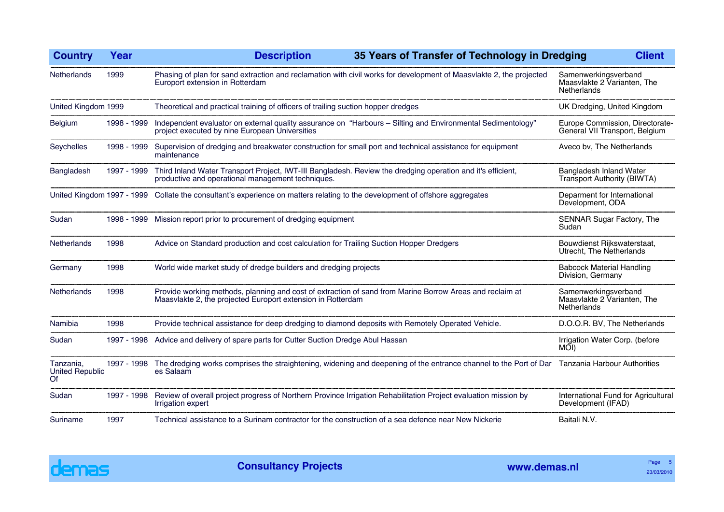| <b>Country</b>                            | Year        | 35 Years of Transfer of Technology in Dredging<br><b>Description</b>                                                                                                    | <b>Client</b>                                                      |
|-------------------------------------------|-------------|-------------------------------------------------------------------------------------------------------------------------------------------------------------------------|--------------------------------------------------------------------|
| <b>Netherlands</b>                        | 1999        | Phasing of plan for sand extraction and reclamation with civil works for development of Maasvlakte 2, the projected<br>Europort extension in Rotterdam                  | Samenwerkingsverband<br>Maasvlakte 2 Varianten, The<br>Netherlands |
| United Kingdom 1999                       |             | Theoretical and practical training of officers of trailing suction hopper dredges                                                                                       | UK Dredging, United Kingdom                                        |
| Belgium                                   | 1998 - 1999 | Independent evaluator on external quality assurance on "Harbours - Silting and Environmental Sedimentology"<br>project executed by nine European Universities           | Europe Commission, Directorate-<br>General VII Transport, Belgium  |
| Seychelles                                | 1998 - 1999 | Supervision of dredging and breakwater construction for small port and technical assistance for equipment<br>maintenance                                                | Aveco bv, The Netherlands                                          |
| Bangladesh                                | 1997 - 1999 | Third Inland Water Transport Project, IWT-III Bangladesh. Review the dredging operation and it's efficient,<br>productive and operational management techniques.        | Bangladesh Inland Water<br>Transport Authority (BIWTA)             |
|                                           |             | United Kingdom 1997 - 1999 Collate the consultant's experience on matters relating to the development of offshore aggregates                                            | Deparment for International<br>Development, ODA                    |
| Sudan                                     | 1998 - 1999 | Mission report prior to procurement of dredging equipment                                                                                                               | SENNAR Sugar Factory, The<br>Sudan                                 |
| Netherlands                               | 1998        | Advice on Standard production and cost calculation for Trailing Suction Hopper Dredgers                                                                                 | Bouwdienst Rijkswaterstaat,<br>Utrecht, The Netherlands            |
| Germany                                   | 1998        | World wide market study of dredge builders and dredging projects                                                                                                        | <b>Babcock Material Handling</b><br>Division, Germany              |
| Netherlands                               | 1998        | Provide working methods, planning and cost of extraction of sand from Marine Borrow Areas and reclaim at<br>Maasvlakte 2, the projected Europort extension in Rotterdam | Samenwerkingsverband<br>Maasvlakte 2 Varianten, The<br>Netherlands |
| Namibia                                   | 1998        | Provide technical assistance for deep dredging to diamond deposits with Remotely Operated Vehicle.                                                                      | D.O.O.R. BV, The Netherlands                                       |
| Sudan                                     | 1997 - 1998 | Advice and delivery of spare parts for Cutter Suction Dredge Abul Hassan                                                                                                | Irrigation Water Corp. (before<br>MOI)                             |
| Tanzania,<br><b>United Republic</b><br>Of | 1997 - 1998 | The dredging works comprises the straightening, widening and deepening of the entrance channel to the Port of Dar Tanzania Harbour Authorities<br>es Salaam             |                                                                    |
| Sudan                                     | 1997 - 1998 | Review of overall project progress of Northern Province Irrigation Rehabilitation Project evaluation mission by<br>Irrigation expert                                    | International Fund for Agricultural<br>Development (IFAD)          |
| Suriname                                  | 1997        | Technical assistance to a Surinam contractor for the construction of a sea defence near New Nickerie                                                                    | Baitali N.V.                                                       |

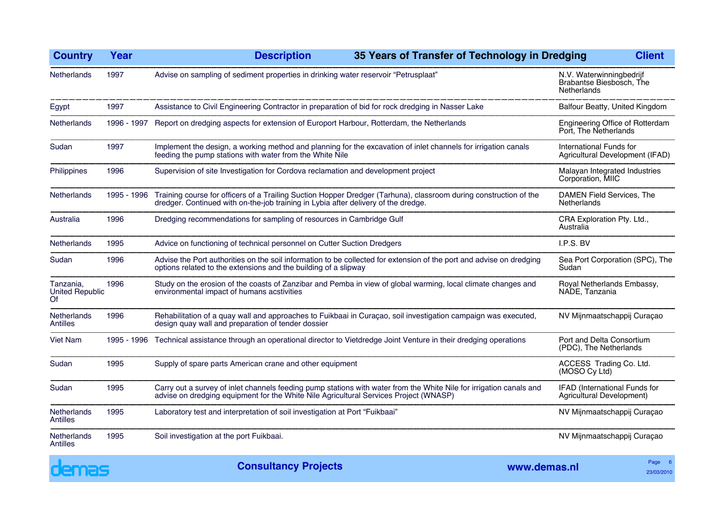| <b>Country</b>                     | Year        | <b>Description</b>                                                                                                                                                                      |                                                                                                                                                                                                                                                                                                                                                                                                                                                                                                                                                                                                                                                 |                                                                     | <b>Client</b>                    |
|------------------------------------|-------------|-----------------------------------------------------------------------------------------------------------------------------------------------------------------------------------------|-------------------------------------------------------------------------------------------------------------------------------------------------------------------------------------------------------------------------------------------------------------------------------------------------------------------------------------------------------------------------------------------------------------------------------------------------------------------------------------------------------------------------------------------------------------------------------------------------------------------------------------------------|---------------------------------------------------------------------|----------------------------------|
| <b>Netherlands</b>                 | 1997        | Advise on sampling of sediment properties in drinking water reservoir "Petrusplaat"                                                                                                     |                                                                                                                                                                                                                                                                                                                                                                                                                                                                                                                                                                                                                                                 | N.V. Waterwinningbedrijf<br>Brabantse Biesbosch, The<br>Netherlands |                                  |
| Egypt                              | 1997        | Assistance to Civil Engineering Contractor in preparation of bid for rock dredging in Nasser Lake                                                                                       |                                                                                                                                                                                                                                                                                                                                                                                                                                                                                                                                                                                                                                                 | Balfour Beatty, United Kingdom                                      |                                  |
| <b>Netherlands</b>                 | 1996 - 1997 | Report on dredging aspects for extension of Europort Harbour, Rotterdam, the Netherlands                                                                                                |                                                                                                                                                                                                                                                                                                                                                                                                                                                                                                                                                                                                                                                 | Engineering Office of Rotterdam<br>Port, The Netherlands            |                                  |
| Sudan                              | 1997        | feeding the pump stations with water from the White Nile                                                                                                                                |                                                                                                                                                                                                                                                                                                                                                                                                                                                                                                                                                                                                                                                 | International Funds for<br>Agricultural Development (IFAD)          |                                  |
| Philippines                        | 1996        | Supervision of site Investigation for Cordova reclamation and development project                                                                                                       |                                                                                                                                                                                                                                                                                                                                                                                                                                                                                                                                                                                                                                                 | Malayan Integrated Industries<br>Corporation, MIIC                  |                                  |
| Netherlands                        | 1995 - 1996 | dredger. Continued with on-the-job training in Lybia after delivery of the dredge.                                                                                                      | 35 Years of Transfer of Technology in Dredging<br>Implement the design, a working method and planning for the excavation of inlet channels for irrigation canals<br>Training course for officers of a Trailing Suction Hopper Dredger (Tarhuna), classroom during construction of the<br>Rehabilitation of a quay wall and approaches to Fuikbaai in Curaçao, soil investigation campaign was executed,<br>Technical assistance through an operational director to Vietdredge Joint Venture in their dredging operations<br>Carry out a survey of inlet channels feeding pump stations with water from the White Nile for irrigation canals and |                                                                     | <b>DAMEN Field Services, The</b> |
| Australia                          | 1996        | Netherlands<br>Dredging recommendations for sampling of resources in Cambridge Gulf                                                                                                     |                                                                                                                                                                                                                                                                                                                                                                                                                                                                                                                                                                                                                                                 | CRA Exploration Pty. Ltd.,<br>Australia                             |                                  |
| Netherlands                        | 1995        | Advice on functioning of technical personnel on Cutter Suction Dredgers                                                                                                                 |                                                                                                                                                                                                                                                                                                                                                                                                                                                                                                                                                                                                                                                 | I.P.S. BV                                                           |                                  |
| Sudan                              | 1996        | Advise the Port authorities on the soil information to be collected for extension of the port and advise on dredging<br>options related to the extensions and the building of a slipway |                                                                                                                                                                                                                                                                                                                                                                                                                                                                                                                                                                                                                                                 | Sea Port Corporation (SPC), The<br>Sudan                            |                                  |
| Tanzania,<br>United Republic<br>Of | 1996        | environmental impact of humans acstivities                                                                                                                                              | Study on the erosion of the coasts of Zanzibar and Pemba in view of global warming, local climate changes and                                                                                                                                                                                                                                                                                                                                                                                                                                                                                                                                   |                                                                     | Royal Netherlands Embassy,       |
| Netherlands<br>Antilles            | 1996        | design quay wall and preparation of tender dossier                                                                                                                                      |                                                                                                                                                                                                                                                                                                                                                                                                                                                                                                                                                                                                                                                 | NV Mijnmaatschappij Curaçao                                         |                                  |
| <b>Viet Nam</b>                    | 1995 - 1996 |                                                                                                                                                                                         |                                                                                                                                                                                                                                                                                                                                                                                                                                                                                                                                                                                                                                                 | Port and Delta Consortium<br>(PDC), The Netherlands                 |                                  |
| Sudan                              | 1995        | Supply of spare parts American crane and other equipment                                                                                                                                |                                                                                                                                                                                                                                                                                                                                                                                                                                                                                                                                                                                                                                                 | ACCESS Trading Co. Ltd.<br>(MOSO Cy Ltd)                            |                                  |
| Sudan                              | 1995        | advise on dredging equipment for the White Nile Agricultural Services Project (WNASP)                                                                                                   |                                                                                                                                                                                                                                                                                                                                                                                                                                                                                                                                                                                                                                                 | IFAD (International Funds for<br>Agricultural Development)          |                                  |
| Netherlands<br>Antilles            | 1995        | Laboratory test and interpretation of soil investigation at Port "Fuikbaai"                                                                                                             |                                                                                                                                                                                                                                                                                                                                                                                                                                                                                                                                                                                                                                                 | NV Mijnmaatschappij Curaçao                                         |                                  |
| Netherlands<br>Antilles            | 1995        | Soil investigation at the port Fuikbaai.                                                                                                                                                |                                                                                                                                                                                                                                                                                                                                                                                                                                                                                                                                                                                                                                                 | NV Mijnmaatschappij Curaçao                                         |                                  |
| $\bullet$                          |             |                                                                                                                                                                                         |                                                                                                                                                                                                                                                                                                                                                                                                                                                                                                                                                                                                                                                 |                                                                     | $P = 1$                          |

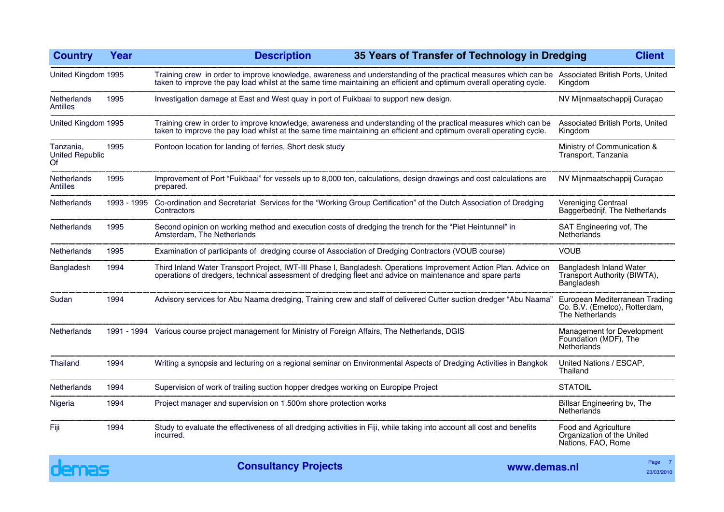| <b>Country</b>                            | Year        | <b>Description</b>                                                                                                                                                                                                                                                      | 35 Years of Transfer of Technology in Dredging | <b>Client</b>                                                                      |
|-------------------------------------------|-------------|-------------------------------------------------------------------------------------------------------------------------------------------------------------------------------------------------------------------------------------------------------------------------|------------------------------------------------|------------------------------------------------------------------------------------|
| United Kingdom 1995                       |             | Training crew in order to improve knowledge, awareness and understanding of the practical measures which can be Associated British Ports, United<br>taken to improve the pay load whilst at the same time maintaining an efficient and optimum overall operating cycle. |                                                | Kingdom                                                                            |
| <b>Netherlands</b><br><b>Antilles</b>     | 1995        | Investigation damage at East and West quay in port of Fuikbaai to support new design.                                                                                                                                                                                   |                                                | NV Mijnmaatschappij Curaçao                                                        |
| United Kingdom 1995                       |             | Training crew in order to improve knowledge, awareness and understanding of the practical measures which can be<br>taken to improve the pay load whilst at the same time maintaining an efficient and optimum overall operating cycle.                                  |                                                | Associated British Ports, United<br>Kingdom                                        |
| Tanzania,<br><b>United Republic</b><br>Of | 1995        | Pontoon location for landing of ferries, Short desk study                                                                                                                                                                                                               |                                                | Ministry of Communication &<br>Transport, Tanzania                                 |
| <b>Netherlands</b><br><b>Antilles</b>     | 1995        | Improvement of Port "Fuikbaai" for vessels up to 8,000 ton, calculations, design drawings and cost calculations are<br>prepared.                                                                                                                                        |                                                | NV Mijnmaatschappij Curaçao                                                        |
| Netherlands                               | 1993 - 1995 | Co-ordination and Secretariat Services for the "Working Group Certification" of the Dutch Association of Dredging<br>Contractors                                                                                                                                        |                                                | Vereniging Centraal<br>Baggerbedrijf, The Netherlands                              |
| <b>Netherlands</b>                        | 1995        | Second opinion on working method and execution costs of dredging the trench for the "Piet Heintunnel" in<br>Amsterdam, The Netherlands                                                                                                                                  |                                                | SAT Engineering vof, The<br><b>Netherlands</b>                                     |
| <b>Netherlands</b>                        | 1995        | Examination of participants of dredging course of Association of Dredging Contractors (VOUB course)                                                                                                                                                                     |                                                | <b>VOUB</b>                                                                        |
| Bangladesh                                | 1994        | Third Inland Water Transport Project, IWT-III Phase I, Bangladesh. Operations Improvement Action Plan. Advice on<br>operations of dredgers, technical assessment of dredging fleet and advice on maintenance and spare parts                                            |                                                | Bangladesh Inland Water<br>Transport Authority (BIWTA),<br>Bangladesh              |
| Sudan                                     | 1994        | Advisory services for Abu Naama dredging, Training crew and staff of delivered Cutter suction dredger "Abu Naama"                                                                                                                                                       |                                                | European Mediterranean Trading<br>Co. B.V. (Emetco), Rotterdam,<br>The Netherlands |
| <b>Netherlands</b>                        |             | 1991 - 1994 Various course project management for Ministry of Foreign Affairs, The Netherlands, DGIS                                                                                                                                                                    |                                                | Management for Development<br>Foundation (MDF), The<br>Netherlands                 |
| Thailand                                  | 1994        | Writing a synopsis and lecturing on a regional seminar on Environmental Aspects of Dredging Activities in Bangkok                                                                                                                                                       |                                                | United Nations / ESCAP,<br>Thailand                                                |
| <b>Netherlands</b>                        | 1994        | Supervision of work of trailing suction hopper dredges working on Europipe Project                                                                                                                                                                                      |                                                | <b>STATOIL</b>                                                                     |
| Nigeria                                   | 1994        | Project manager and supervision on 1.500m shore protection works                                                                                                                                                                                                        |                                                | Billsar Engineering bv, The<br>Netherlands                                         |
| Fiji                                      | 1994        | Study to evaluate the effectiveness of all dredging activities in Fiji, while taking into account all cost and benefits<br>incurred.                                                                                                                                    |                                                | Food and Agriculture<br>Organization of the United<br>Nations, FAO, Rome           |
|                                           |             |                                                                                                                                                                                                                                                                         |                                                |                                                                                    |

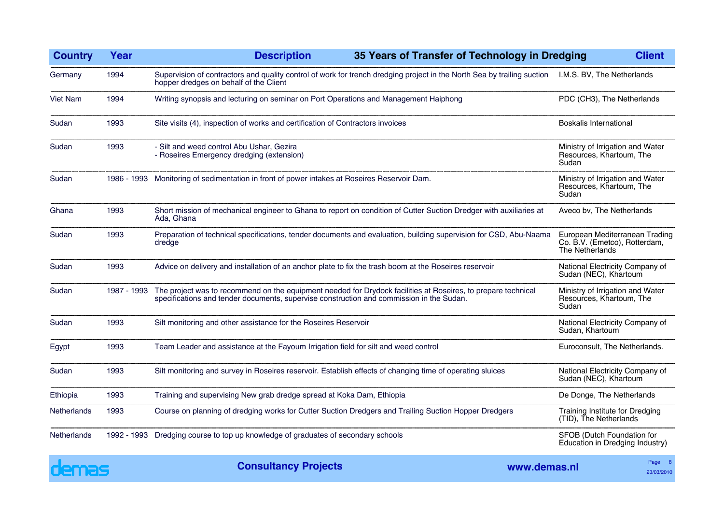| <b>Country</b>     | Year        | <b>Description</b><br>35 Years of Transfer of Technology in Dredging                                                                                                                                               |                                                                       | <b>Client</b>                                                                      |
|--------------------|-------------|--------------------------------------------------------------------------------------------------------------------------------------------------------------------------------------------------------------------|-----------------------------------------------------------------------|------------------------------------------------------------------------------------|
| Germany            | 1994        | Supervision of contractors and quality control of work for trench dredging project in the North Sea by trailing suction<br>hopper dredges on behalf of the Client                                                  | I.M.S. BV, The Netherlands                                            |                                                                                    |
| <b>Viet Nam</b>    | 1994        | Writing synopsis and lecturing on seminar on Port Operations and Management Haiphong                                                                                                                               | PDC (CH3), The Netherlands                                            |                                                                                    |
| Sudan              | 1993        | Site visits (4), inspection of works and certification of Contractors invoices                                                                                                                                     | <b>Boskalis International</b>                                         |                                                                                    |
| Sudan              | 1993        | - Silt and weed control Abu Ushar, Gezira<br>- Roseires Emergency dredging (extension)                                                                                                                             | Ministry of Irrigation and Water<br>Resources, Khartoum, The<br>Sudan |                                                                                    |
| Sudan              |             | 1986 - 1993 Monitoring of sedimentation in front of power intakes at Roseires Reservoir Dam.                                                                                                                       | Ministry of Irrigation and Water<br>Resources, Khartoum, The<br>Sudan |                                                                                    |
| Ghana              | 1993        | Short mission of mechanical engineer to Ghana to report on condition of Cutter Suction Dredger with auxiliaries at<br>Ada, Ghana                                                                                   |                                                                       | Aveco bv, The Netherlands                                                          |
| Sudan              | 1993        | Preparation of technical specifications, tender documents and evaluation, building supervision for CSD, Abu-Naama<br>dredge                                                                                        |                                                                       | European Mediterranean Trading<br>Co. B.V. (Emetco), Rotterdam,<br>The Netherlands |
| Sudan              | 1993        | Advice on delivery and installation of an anchor plate to fix the trash boom at the Roseires reservoir                                                                                                             | National Electricity Company of<br>Sudan (NEC), Khartoum              |                                                                                    |
| Sudan              | 1987 - 1993 | The project was to recommend on the equipment needed for Drydock facilities at Roseires, to prepare technical<br>specifications and tender documents, supervise construction and commission in the Sudan.<br>Sudan |                                                                       | Ministry of Irrigation and Water<br>Resources, Khartoum, The                       |
| Sudan              | 1993        | Silt monitoring and other assistance for the Roseires Reservoir                                                                                                                                                    | National Electricity Company of<br>Sudan, Khartoum                    |                                                                                    |
| Egypt              | 1993        | Team Leader and assistance at the Fayoum Irrigation field for silt and weed control                                                                                                                                | Euroconsult, The Netherlands.                                         |                                                                                    |
| Sudan              | 1993        | Silt monitoring and survey in Roseires reservoir. Establish effects of changing time of operating sluices                                                                                                          | National Electricity Company of<br>Sudan (NEC), Khartoum              |                                                                                    |
| Ethiopia           | 1993        | Training and supervising New grab dredge spread at Koka Dam, Ethiopia                                                                                                                                              | De Donge, The Netherlands                                             |                                                                                    |
| Netherlands        | 1993        | Course on planning of dredging works for Cutter Suction Dredgers and Trailing Suction Hopper Dredgers                                                                                                              | Training Institute for Dredging<br>(TID), The Netherlands             |                                                                                    |
| <b>Netherlands</b> | 1992 - 1993 | Dredging course to top up knowledge of graduates of secondary schools                                                                                                                                              | SFOB (Dutch Foundation for<br>Education in Dredging Industry)         |                                                                                    |

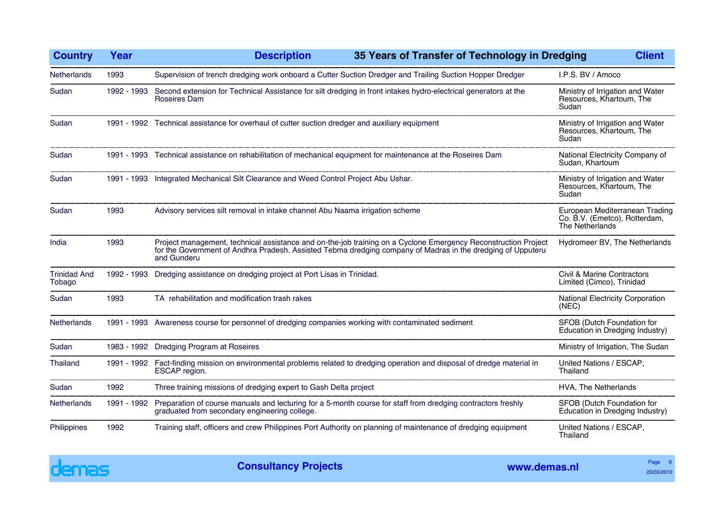| <b>Country</b>                | Year        | 35 Years of Transfer of Technology in Dredging<br><b>Description</b>                                                                                                                                                                                                                                                                                                                                                                                                                                                                                                                                     |  | <b>Client</b>                                                                      |
|-------------------------------|-------------|----------------------------------------------------------------------------------------------------------------------------------------------------------------------------------------------------------------------------------------------------------------------------------------------------------------------------------------------------------------------------------------------------------------------------------------------------------------------------------------------------------------------------------------------------------------------------------------------------------|--|------------------------------------------------------------------------------------|
| Netherlands                   | 1993        |                                                                                                                                                                                                                                                                                                                                                                                                                                                                                                                                                                                                          |  | I.P.S. BV / Amoco                                                                  |
| Sudan                         | 1992 - 1993 | Roseires Dam                                                                                                                                                                                                                                                                                                                                                                                                                                                                                                                                                                                             |  | Ministry of Irrigation and Water<br>Resources, Khartoum, The                       |
| Sudan                         |             | 1991 - 1992 Technical assistance for overhaul of cutter suction dredger and auxiliary equipment                                                                                                                                                                                                                                                                                                                                                                                                                                                                                                          |  | Ministry of Irrigation and Water<br>Resources, Khartoum, The                       |
| Sudan                         |             |                                                                                                                                                                                                                                                                                                                                                                                                                                                                                                                                                                                                          |  | National Electricity Company of<br>Sudan, Khartoum                                 |
| Sudan                         |             | Supervision of trench dredging work onboard a Cutter Suction Dredger and Trailing Suction Hopper Dredger<br>Second extension for Technical Assistance for silt dredging in front intakes hydro-electrical generators at the<br>Sudan<br>Sudan<br>1991 - 1993 Technical assistance on rehabilitation of mechanical equipment for maintenance at the Roseires Dam<br>1991 - 1993 Integrated Mechanical Silt Clearance and Weed Control Project Abu Ushar.<br>Sudan<br>(NEC)<br>1991 - 1992 Fact-finding mission on environmental problems related to dredging operation and disposal of dredge material in |  | Ministry of Irrigation and Water<br>Resources, Khartoum, The                       |
| Sudan                         | 1993        | Advisory services silt removal in intake channel Abu Naama irrigation scheme                                                                                                                                                                                                                                                                                                                                                                                                                                                                                                                             |  | European Mediterranean Trading<br>Co. B.V. (Emetco), Rotterdam,<br>The Netherlands |
| India                         | 1993        | Project management, technical assistance and on-the-job training on a Cyclone Emergency Reconstruction Project<br>for the Government of Andhra Pradesh. Assisted Tebma dredging company of Madras in the dredging of Upputeru<br>and Gunderu                                                                                                                                                                                                                                                                                                                                                             |  | Hydromeer BV, The Netherlands                                                      |
| <b>Trinidad And</b><br>Tobago |             | 1992 - 1993 Dredging assistance on dredging project at Port Lisas in Trinidad.                                                                                                                                                                                                                                                                                                                                                                                                                                                                                                                           |  | <b>Civil &amp; Marine Contractors</b><br>Limited (Cimco), Trinidad                 |
| Sudan                         | 1993        | TA rehabilitation and modification trash rakes                                                                                                                                                                                                                                                                                                                                                                                                                                                                                                                                                           |  | National Electricity Corporation                                                   |
| <b>Netherlands</b>            | 1991 - 1993 | Awareness course for personnel of dredging companies working with contaminated sediment                                                                                                                                                                                                                                                                                                                                                                                                                                                                                                                  |  | SFOB (Dutch Foundation for<br>Education in Dredging Industry)                      |
| Sudan                         |             | 1983 - 1992 Dredging Program at Roseires                                                                                                                                                                                                                                                                                                                                                                                                                                                                                                                                                                 |  | Ministry of Irrigation, The Sudan                                                  |
| Thailand                      |             | ESCAP region.                                                                                                                                                                                                                                                                                                                                                                                                                                                                                                                                                                                            |  | United Nations / ESCAP,<br>Thailand                                                |
| Sudan                         | 1992        | Three training missions of dredging expert to Gash Delta project                                                                                                                                                                                                                                                                                                                                                                                                                                                                                                                                         |  | HVA, The Netherlands                                                               |
| Netherlands                   | 1991 - 1992 | Preparation of course manuals and lecturing for a 5-month course for staff from dredging contractors freshly<br>graduated from secondary engineering college.                                                                                                                                                                                                                                                                                                                                                                                                                                            |  | SFOB (Dutch Foundation for<br>Education in Dredging Industry)                      |
| Philippines                   | 1992        | Training staff, officers and crew Philippines Port Authority on planning of maintenance of dredging equipment                                                                                                                                                                                                                                                                                                                                                                                                                                                                                            |  | United Nations / ESCAP,<br>Thailand                                                |

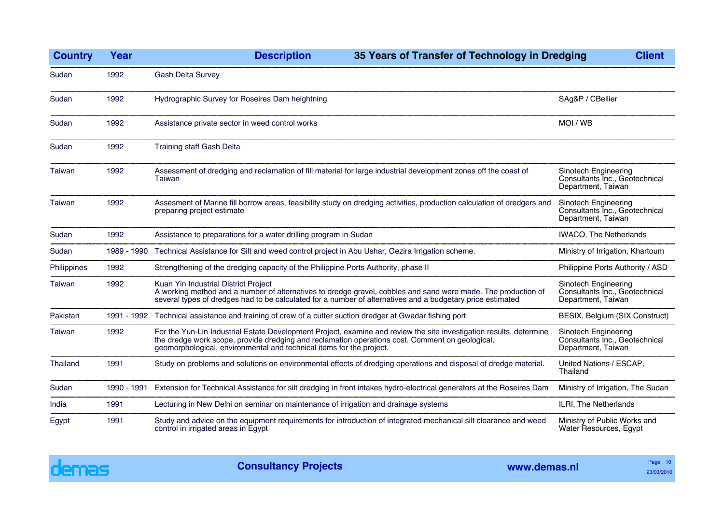| <b>Country</b> | Year        | <b>Description</b><br>35 Years of Transfer of Technology in Dredging                                                                                                                                                                                                                        | <b>Client</b>                                                                |
|----------------|-------------|---------------------------------------------------------------------------------------------------------------------------------------------------------------------------------------------------------------------------------------------------------------------------------------------|------------------------------------------------------------------------------|
| Sudan          | 1992        | <b>Gash Delta Survey</b>                                                                                                                                                                                                                                                                    |                                                                              |
| Sudan          | 1992        | Hydrographic Survey for Roseires Dam heightning                                                                                                                                                                                                                                             | SAg&P / CBellier                                                             |
| Sudan          | 1992        | Assistance private sector in weed control works                                                                                                                                                                                                                                             | MOI / WB                                                                     |
| Sudan          | 1992        | <b>Training staff Gash Delta</b>                                                                                                                                                                                                                                                            |                                                                              |
| Taiwan         | 1992        | Assessment of dredging and reclamation of fill material for large industrial development zones off the coast of<br>Taiwan                                                                                                                                                                   | Sinotech Engineering<br>Consultants Inc., Geotechnical<br>Department, Taiwan |
| Taiwan         | 1992        | Assesment of Marine fill borrow areas, feasibility study on dredging activities, production calculation of dredgers and<br>preparing project estimate                                                                                                                                       | Sinotech Engineering<br>Consultants Inc., Geotechnical<br>Department, Taiwan |
| Sudan          | 1992        | Assistance to preparations for a water drilling program in Sudan                                                                                                                                                                                                                            | <b>IWACO, The Netherlands</b>                                                |
| Sudan          |             | 1989 - 1990 Technical Assistance for Silt and weed control project in Abu Ushar, Gezira Irrigation scheme.                                                                                                                                                                                  | Ministry of Irrigation, Khartoum                                             |
| Philippines    | 1992        | Strengthening of the dredging capacity of the Philippine Ports Authority, phase II                                                                                                                                                                                                          | Philippine Ports Authority / ASD                                             |
| Taiwan         | 1992        | Kuan Yin Industrial District Project<br>A working method and a number of alternatives to dredge gravel, cobbles and sand were made. The production of<br>several types of dredges had to be calculated for a number of alternatives and a budgetary price estimated                         | Sinotech Engineering<br>Consultants Inc., Geotechnical<br>Department, Taiwan |
| Pakistan       |             | 1991 - 1992 Technical assistance and training of crew of a cutter suction dredger at Gwadar fishing port                                                                                                                                                                                    | BESIX, Belgium (SIX Construct)                                               |
| Taiwan         | 1992        | For the Yun-Lin Industrial Estate Development Project, examine and review the site investigation results, determine<br>the dredge work scope, provide dredging and reclamation operations cost. Comment on geological, geomorphological, environmental and technical items for the project. | Sinotech Engineering<br>Consultants Inc., Geotechnical<br>Department, Taiwan |
| Thailand       | 1991        | Study on problems and solutions on environmental effects of dredging operations and disposal of dredge material.                                                                                                                                                                            | United Nations / ESCAP,<br>Thailand                                          |
| Sudan          | 1990 - 1991 | Extension for Technical Assistance for silt dredging in front intakes hydro-electrical generators at the Roseires Dam                                                                                                                                                                       | Ministry of Irrigation, The Sudan                                            |
| India          | 1991        | Lecturing in New Delhi on seminar on maintenance of irrigation and drainage systems                                                                                                                                                                                                         | ILRI, The Netherlands                                                        |
| Egypt          | 1991        | Study and advice on the equipment requirements for introduction of integrated mechanical silt clearance and weed<br>control in irrigated areas in Egypt                                                                                                                                     | Ministry of Public Works and<br>Water Resources, Egypt                       |

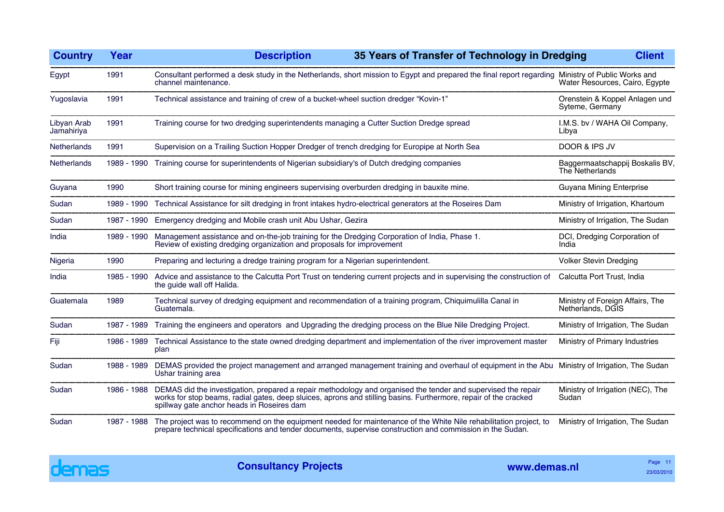| <b>Country</b>            | Year        | <b>Description</b><br>35 Years of Transfer of Technology in Dredging                                                                                                                                                                                                                        | <b>Client</b>                                           |
|---------------------------|-------------|---------------------------------------------------------------------------------------------------------------------------------------------------------------------------------------------------------------------------------------------------------------------------------------------|---------------------------------------------------------|
| Egypt                     | 1991        | Consultant performed a desk study in the Netherlands, short mission to Egypt and prepared the final report regarding Ministry of Public Works and<br>channel maintenance.                                                                                                                   | Water Resources, Cairo, Egypte                          |
| Yugoslavia                | 1991        | Technical assistance and training of crew of a bucket-wheel suction dredger "Kovin-1"                                                                                                                                                                                                       | Orenstein & Koppel Anlagen und<br>Syteme, Germany       |
| Libyan Arab<br>Jamahiriya | 1991        | Training course for two dredging superintendents managing a Cutter Suction Dredge spread                                                                                                                                                                                                    | I.M.S. bv / WAHA Oil Company,<br>Libya                  |
| <b>Netherlands</b>        | 1991        | Supervision on a Trailing Suction Hopper Dredger of trench dredging for Europipe at North Sea                                                                                                                                                                                               | DOOR & IPS JV                                           |
| Netherlands               | 1989 - 1990 | Training course for superintendents of Nigerian subsidiary's of Dutch dredging companies                                                                                                                                                                                                    | Baggermaatschappij Boskalis BV,<br>The Netherlands      |
| Guyana                    | 1990        | Short training course for mining engineers supervising overburden dredging in bauxite mine.                                                                                                                                                                                                 | Guyana Mining Enterprise                                |
| Sudan                     | 1989 - 1990 | Technical Assistance for silt dredging in front intakes hydro-electrical generators at the Roseires Dam                                                                                                                                                                                     | Ministry of Irrigation, Khartoum                        |
| Sudan                     |             | 1987 - 1990 Emergency dredging and Mobile crash unit Abu Ushar, Gezira                                                                                                                                                                                                                      | Ministry of Irrigation, The Sudan                       |
| India                     | 1989 - 1990 | Management assistance and on-the-job training for the Dredging Corporation of India, Phase 1.<br>Review of existing dredging organization and proposals for improvement                                                                                                                     | DCI, Dredging Corporation of<br>India                   |
| Nigeria                   | 1990        | Preparing and lecturing a dredge training program for a Nigerian superintendent.                                                                                                                                                                                                            | <b>Volker Stevin Dredging</b>                           |
| India                     | 1985 - 1990 | Advice and assistance to the Calcutta Port Trust on tendering current projects and in supervising the construction of<br>the guide wall off Halida.                                                                                                                                         | Calcutta Port Trust, India                              |
| Guatemala                 | 1989        | Technical survey of dredging equipment and recommendation of a training program, Chiquimulilla Canal in<br>Guatemala.                                                                                                                                                                       | Ministry of Foreign Affairs, The<br>Netherlands, DGIS   |
| Sudan                     | 1987 - 1989 | Training the engineers and operators and Upgrading the dredging process on the Blue Nile Dredging Project.                                                                                                                                                                                  | Ministry of Irrigation, The Sudan                       |
| Fiji                      | 1986 - 1989 | Technical Assistance to the state owned dredging department and implementation of the river improvement master<br>plan                                                                                                                                                                      | Ministry of Primary Industries                          |
| Sudan                     | 1988 - 1989 | DEMAS provided the project management and arranged management training and overhaul of equipment in the Abu Ministry of Irrigation, The Sudan<br>Ushar training area                                                                                                                        |                                                         |
| Sudan                     |             | 1986 - 1988 DEMAS did the investigation, prepared a repair methodology and organised the tender and supervised the repair<br>works for stop beams, radial gates, deep sluices, aprons and stilling basins. Furthermore, repair of the cracked<br>spillway gate anchor heads in Roseires dam | Ministry of Irrigation (NEC), The<br>Sudan <sup>1</sup> |
| Sudan                     | 1987 - 1988 | The project was to recommend on the equipment needed for maintenance of the White Nile rehabilitation project, to<br>prepare technical specifications and tender documents, supervise construction and commission in the Sudan.                                                             | Ministry of Irrigation, The Sudan                       |
|                           |             |                                                                                                                                                                                                                                                                                             |                                                         |

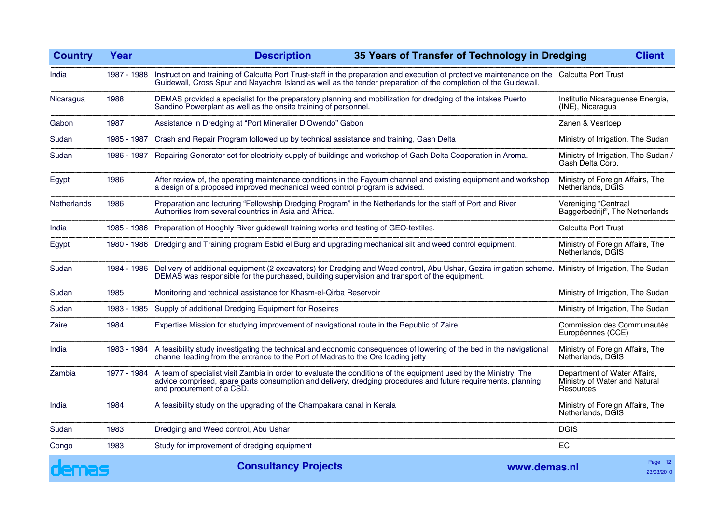| <b>Country</b>     | Year        | <b>Description</b>                                                                                                                                                                                                                                             | 35 Years of Transfer of Technology in Dredging |                                                                            | <b>Client</b>         |
|--------------------|-------------|----------------------------------------------------------------------------------------------------------------------------------------------------------------------------------------------------------------------------------------------------------------|------------------------------------------------|----------------------------------------------------------------------------|-----------------------|
| India              | 1987 - 1988 | Instruction and training of Calcutta Port Trust-staff in the preparation and execution of protective maintenance on the Calcutta Port Trust<br>Guidewall, Cross Spur and Nayachra Island as well as the tender preparation of the completion of the Guidewall. |                                                |                                                                            |                       |
| Nicaragua          | 1988        | DEMAS provided a specialist for the preparatory planning and mobilization for dredging of the intakes Puerto<br>Sandino Powerplant as well as the onsite training of personnel.                                                                                |                                                | Institutio Nicaraguense Energia,<br>(INE), Nicaragua                       |                       |
| Gabon              | 1987        | Assistance in Dredging at "Port Mineralier D'Owendo" Gabon                                                                                                                                                                                                     |                                                | Zanen & Vesrtoep                                                           |                       |
| Sudan              | 1985 - 1987 | Crash and Repair Program followed up by technical assistance and training, Gash Delta                                                                                                                                                                          |                                                | Ministry of Irrigation, The Sudan                                          |                       |
| Sudan              | 1986 - 1987 | Repairing Generator set for electricity supply of buildings and workshop of Gash Delta Cooperation in Aroma.                                                                                                                                                   |                                                | Ministry of Irrigation, The Sudan /<br>Gash Delta Corp.                    |                       |
| Egypt              | 1986        | After review of, the operating maintenance conditions in the Fayoum channel and existing equipment and workshop<br>a design of a proposed improved mechanical weed control program is advised.                                                                 |                                                | Ministry of Foreign Affairs, The<br>Netherlands, DGIS                      |                       |
| <b>Netherlands</b> | 1986        | Preparation and lecturing "Fellowship Dredging Program" in the Netherlands for the staff of Port and River Authorities from several countries in Asia and Africa.                                                                                              |                                                | Vereniging "Centraal<br>Baggerbedrijf", The Netherlands                    |                       |
| India              |             | 1985 - 1986 Preparation of Hooghly River guidewall training works and testing of GEO-textiles.                                                                                                                                                                 |                                                | <b>Calcutta Port Trust</b>                                                 |                       |
| Egypt              |             | 1980 - 1986 Dredging and Training program Esbid el Burg and upgrading mechanical silt and weed control equipment.                                                                                                                                              |                                                | Ministry of Foreign Affairs, The<br>Netherlands, DGIS                      |                       |
| Sudan              |             | 1984 - 1986 Delivery of additional equipment (2 excavators) for Dredging and Weed control, Abu Ushar, Gezira irrigation scheme. Ministry of Irrigation, The Sudan<br>DEMAS was responsible for the purchased, building supervisio                              |                                                |                                                                            |                       |
| Sudan              | 1985        | Monitoring and technical assistance for Khasm-el-Qirba Reservoir                                                                                                                                                                                               |                                                | Ministry of Irrigation, The Sudan                                          |                       |
| Sudan              | 1983 - 1985 | Supply of additional Dredging Equipment for Roseires                                                                                                                                                                                                           |                                                | Ministry of Irrigation, The Sudan                                          |                       |
| Zaire              | 1984        | Expertise Mission for studying improvement of navigational route in the Republic of Zaire.                                                                                                                                                                     |                                                | Commission des Communautés<br>Européennes (CCE)                            |                       |
| India              |             | 1983 - 1984 A feasibility study investigating the technical and economic consequences of lowering of the bed in the navigational<br>channel leading from the entrance to the Port of Madras to the Ore loading jetty                                           |                                                | Ministry of Foreign Affairs, The<br>Netherlands, DGIS                      |                       |
| Zambia             | 1977 - 1984 | A team of specialist visit Zambia in order to evaluate the conditions of the equipment used by the Ministry. The<br>advice comprised, spare parts consumption and delivery, dredging procedures and future requirements, planning<br>and procurement of a CSD. |                                                | Department of Water Affairs,<br>Ministry of Water and Natural<br>Resources |                       |
| India              | 1984        | A feasibility study on the upgrading of the Champakara canal in Kerala                                                                                                                                                                                         |                                                | Ministry of Foreign Affairs, The<br>Netherlands, DGIS                      |                       |
| Sudan              | 1983        | Dredging and Weed control, Abu Ushar                                                                                                                                                                                                                           |                                                | <b>DGIS</b>                                                                |                       |
| Congo              | 1983        | Study for improvement of dredging equipment                                                                                                                                                                                                                    |                                                | EC                                                                         |                       |
| demas              |             | <b>Consultancy Projects</b>                                                                                                                                                                                                                                    | www.demas.nl                                   |                                                                            | Page 12<br>23/03/2010 |